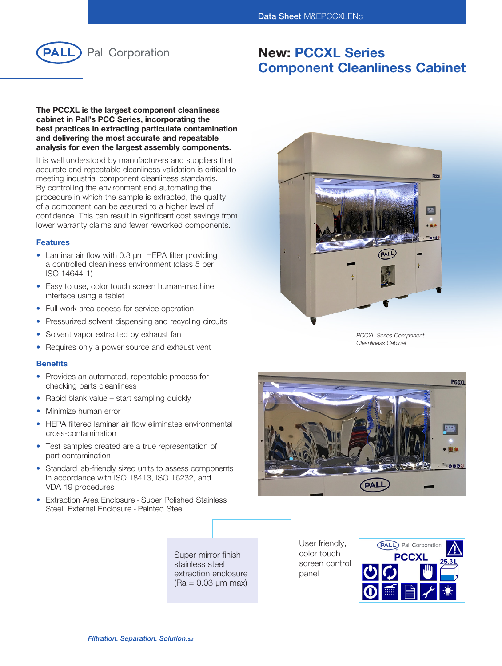

# New: PCCXL Series Component Cleanliness Cabinet

### The PCCXL is the largest component cleanliness cabinet in Pall's PCC Series, incorporating the best practices in extracting particulate contamination and delivering the most accurate and repeatable analysis for even the largest assembly components.

It is well understood by manufacturers and suppliers that accurate and repeatable cleanliness validation is critical to meeting industrial component cleanliness standards. By controlling the environment and automating the procedure in which the sample is extracted, the quality of a component can be assured to a higher level of confidence. This can result in significant cost savings from lower warranty claims and fewer reworked components.

## Features

- Laminar air flow with 0.3 um HEPA filter providing a controlled cleanliness environment (class 5 per ISO 14644-1)
- Easy to use, color touch screen human-machine interface using a tablet
- Full work area access for service operation
- Pressurized solvent dispensing and recycling circuits
- Solvent vapor extracted by exhaust fan
- Requires only a power source and exhaust vent

#### **Benefits**

- Provides an automated, repeatable process for checking parts cleanliness
- Rapid blank value start sampling quickly
- Minimize human error
- HEPA filtered laminar air flow eliminates environmental cross-contamination
- Test samples created are a true representation of part contamination
- Standard lab-friendly sized units to assess components in accordance with ISO 18413, ISO 16232, and VDA 19 procedures
- Extraction Area Enclosure Super Polished Stainless Steel; External Enclosure - Painted Steel

PCCXL  $-10<sup>o</sup>$ (PALL)

*PCCXL Series Component Cleanliness Cabinet*



Super mirror finish stainless steel extraction enclosure (Ra = 0.03 μm max)

User friendly, color touch screen control panel